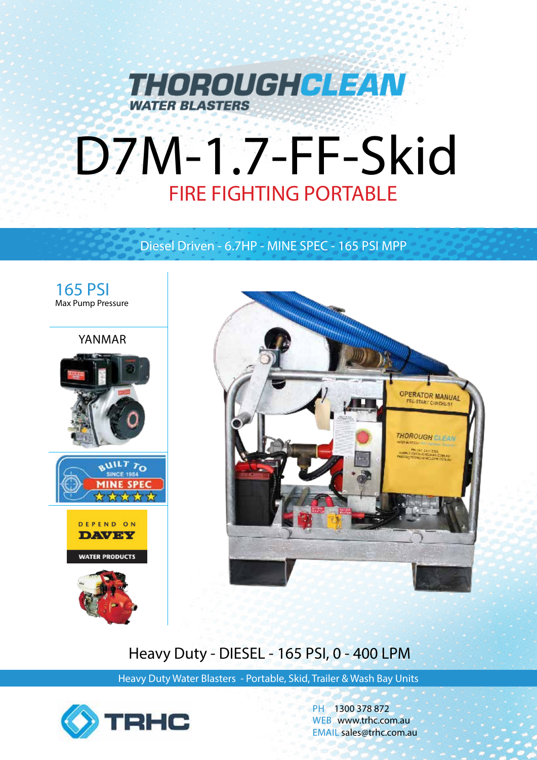

# D7M-1.7-FF-Skid

## Diesel Driven - 6.7HP - MINE SPEC - 165 PSI MPP





# Heavy Duty - DIESEL - 165 PSI, 0 - 400 LPM

Heavy Duty Water Blasters - Portable, Skid, Trailer & Wash Bay Units



PH 1300 378 872 WEB www.trhc.com.au EMAIL sales@trhc.com.au